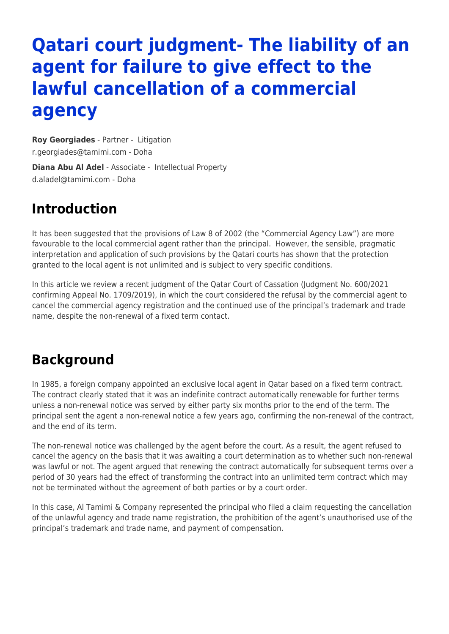# **Qatari court judgment- The liability of an agent for failure to give effect to the lawful cancellation of a commercial agency**

**[Roy Georgiades](https://www.tamimi.com/find-a-lawyer/roy-georgiades/)** - Partner - [Litigation](https://www.tamimi.com/client-services/practices/litigation/) [r.georgiades@tamimi.com](mailto:r.georgiades@tamimi.com) - [Doha](https://www.tamimi.com/locations/qatar/)

**[Diana Abu Al Adel](https://www.tamimi.com/find-a-lawyer/diana-al-adel/)** - Associate - [Intellectual Property](https://www.tamimi.com/client-services/practices/intellectual-property/) [d.aladel@tamimi.com](mailto:d.aladel@tamimi.com) - [Doha](https://www.tamimi.com/locations/qatar/)

### **Introduction**

It has been suggested that the provisions of Law 8 of 2002 (the "Commercial Agency Law") are more favourable to the local commercial agent rather than the principal. However, the sensible, pragmatic interpretation and application of such provisions by the Qatari courts has shown that the protection granted to the local agent is not unlimited and is subject to very specific conditions.

In this article we review a recent judgment of the Qatar Court of Cassation (Judgment No. 600/2021 confirming Appeal No. 1709/2019), in which the court considered the refusal by the commercial agent to cancel the commercial agency registration and the continued use of the principal's trademark and trade name, despite the non-renewal of a fixed term contact.

### **Background**

In 1985, a foreign company appointed an exclusive local agent in Qatar based on a fixed term contract. The contract clearly stated that it was an indefinite contract automatically renewable for further terms unless a non-renewal notice was served by either party six months prior to the end of the term. The principal sent the agent a non-renewal notice a few years ago, confirming the non-renewal of the contract, and the end of its term.

The non-renewal notice was challenged by the agent before the court. As a result, the agent refused to cancel the agency on the basis that it was awaiting a court determination as to whether such non-renewal was lawful or not. The agent argued that renewing the contract automatically for subsequent terms over a period of 30 years had the effect of transforming the contract into an unlimited term contract which may not be terminated without the agreement of both parties or by a court order.

In this case, Al Tamimi & Company represented the principal who filed a claim requesting the cancellation of the unlawful agency and trade name registration, the prohibition of the agent's unauthorised use of the principal's trademark and trade name, and payment of compensation.